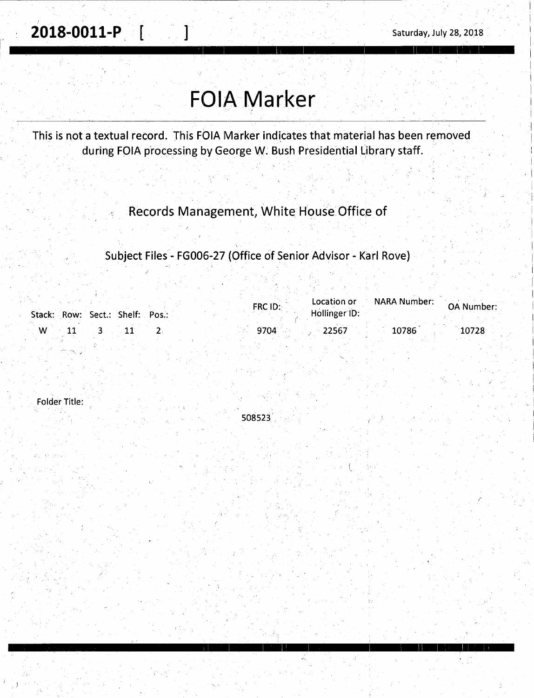2018-0011-P [

Saturday, July 28, 2018

## **FOIA Marker**

This is not a textual record. This FOIA Marker indicates that material has been removed during FOIA processing by George W. Bush Presidential Library staff.

Records Management, White House Office of

Subject Files - FG006-27 (Office of Senior Advisor - Karl Rove)

| Stack: Row: Sect.: Shelf: Pos.: | Location or<br>$FRC$ ID:<br>Hollinger ID: | NARA Number: N<br>OA Number: |
|---------------------------------|-------------------------------------------|------------------------------|
| W                               | 9704<br>22567                             | 10786<br>10728               |

**Folder Title:** 

508523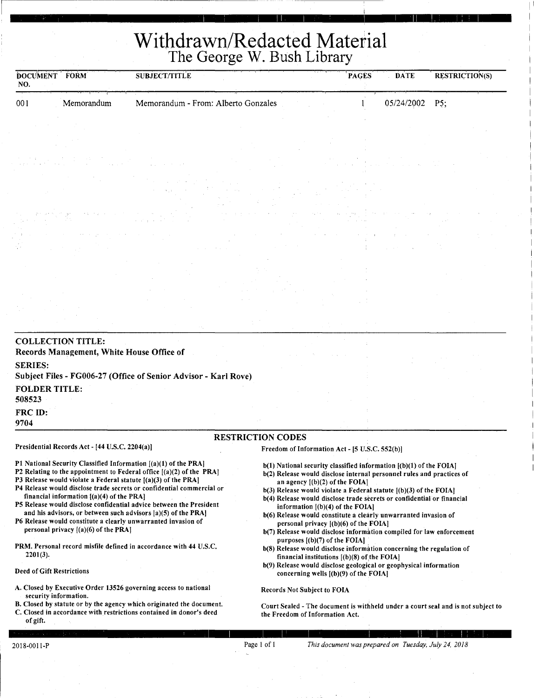## **Withdrawn/Redacted Material**  The George W. Bush Library

r i grunnian is ann an comhann airs a' bheann an 11 an 11 an 11 an 11 an 11 an 11 an 11 an 11 an 11 an 11 an 1

| DOCUMENT FORM<br>NO.                                                                                                                                                                                                                                                                                                                                                                                                                                                                                               | <b>SUBJECT/TITLE</b>                                                  |                                                                                | <b>PAGES</b><br><b>DATE</b>                                                                                                                                                                                                                                                                                                                                                                                                                                                         | <b>RESTRICTION(S)</b>                                                            |
|--------------------------------------------------------------------------------------------------------------------------------------------------------------------------------------------------------------------------------------------------------------------------------------------------------------------------------------------------------------------------------------------------------------------------------------------------------------------------------------------------------------------|-----------------------------------------------------------------------|--------------------------------------------------------------------------------|-------------------------------------------------------------------------------------------------------------------------------------------------------------------------------------------------------------------------------------------------------------------------------------------------------------------------------------------------------------------------------------------------------------------------------------------------------------------------------------|----------------------------------------------------------------------------------|
| Memorandum<br>001                                                                                                                                                                                                                                                                                                                                                                                                                                                                                                  | Memorandum - From: Alberto Gonzales                                   |                                                                                | 05/24/2002                                                                                                                                                                                                                                                                                                                                                                                                                                                                          | P5:                                                                              |
|                                                                                                                                                                                                                                                                                                                                                                                                                                                                                                                    |                                                                       |                                                                                |                                                                                                                                                                                                                                                                                                                                                                                                                                                                                     |                                                                                  |
|                                                                                                                                                                                                                                                                                                                                                                                                                                                                                                                    |                                                                       |                                                                                |                                                                                                                                                                                                                                                                                                                                                                                                                                                                                     |                                                                                  |
|                                                                                                                                                                                                                                                                                                                                                                                                                                                                                                                    |                                                                       |                                                                                |                                                                                                                                                                                                                                                                                                                                                                                                                                                                                     |                                                                                  |
|                                                                                                                                                                                                                                                                                                                                                                                                                                                                                                                    |                                                                       |                                                                                |                                                                                                                                                                                                                                                                                                                                                                                                                                                                                     |                                                                                  |
|                                                                                                                                                                                                                                                                                                                                                                                                                                                                                                                    |                                                                       |                                                                                |                                                                                                                                                                                                                                                                                                                                                                                                                                                                                     |                                                                                  |
|                                                                                                                                                                                                                                                                                                                                                                                                                                                                                                                    |                                                                       |                                                                                |                                                                                                                                                                                                                                                                                                                                                                                                                                                                                     |                                                                                  |
|                                                                                                                                                                                                                                                                                                                                                                                                                                                                                                                    |                                                                       |                                                                                |                                                                                                                                                                                                                                                                                                                                                                                                                                                                                     |                                                                                  |
|                                                                                                                                                                                                                                                                                                                                                                                                                                                                                                                    |                                                                       |                                                                                |                                                                                                                                                                                                                                                                                                                                                                                                                                                                                     |                                                                                  |
|                                                                                                                                                                                                                                                                                                                                                                                                                                                                                                                    |                                                                       |                                                                                |                                                                                                                                                                                                                                                                                                                                                                                                                                                                                     |                                                                                  |
|                                                                                                                                                                                                                                                                                                                                                                                                                                                                                                                    |                                                                       |                                                                                |                                                                                                                                                                                                                                                                                                                                                                                                                                                                                     |                                                                                  |
| <b>FOLDER TITLE:</b><br>508523<br>FRC ID:<br>9704                                                                                                                                                                                                                                                                                                                                                                                                                                                                  | Subject Files - FG006-27 (Office of Senior Advisor - Karl Rove)       |                                                                                |                                                                                                                                                                                                                                                                                                                                                                                                                                                                                     |                                                                                  |
|                                                                                                                                                                                                                                                                                                                                                                                                                                                                                                                    |                                                                       | <b>RESTRICTION CODES</b>                                                       |                                                                                                                                                                                                                                                                                                                                                                                                                                                                                     |                                                                                  |
| Presidential Records Act - [44 U.S.C. 2204(a)]                                                                                                                                                                                                                                                                                                                                                                                                                                                                     |                                                                       |                                                                                | Freedom of Information Act - [5 U.S.C. 552(b)]                                                                                                                                                                                                                                                                                                                                                                                                                                      |                                                                                  |
| P1 National Security Classified Information [(a)(1) of the PRA]<br>P2 Relating to the appointment to Federal office [(a)(2) of the PRA]<br>P3 Release would violate a Federal statute $[(a)(3)$ of the PRA]<br>financial information $[(a)(4)$ of the PRA<br>P5 Release would disclose confidential advice between the President<br>and his advisors, or between such advisors $ a\rangle(5)$ of the PRA<br>P6 Release would constitute a clearly unwarranted invasion of<br>personal privacy $[(a)(6)$ of the PRA | P4 Release would disclose trade secrets or confidential commercial or | an agency $[(b)(2)$ of the FOIA]<br>information $($ (b) $($ 4) of the FOIA $]$ | b(1) National security classified information [(b)(1) of the FOIA]<br>b(2) Release would disclose internal personnel rules and practices of<br>$b(3)$ Release would violate a Federal statute $(6)(3)$ of the FOIA]<br>b(4) Release would disclose trade secrets or confidential or financial<br>b(6) Release would constitute a clearly unwarranted invasion of<br>personal privacy $[(b)(6)$ of the FOIA]<br>b(7) Release would disclose information compiled for law enforcement |                                                                                  |
| PRM. Personal record misfile defined in accordance with 44 U.S.C.<br>$2201(3)$ .<br><b>Deed of Gift Restrictions</b>                                                                                                                                                                                                                                                                                                                                                                                               |                                                                       | purposes $[(b)(7)$ of the FOIA]                                                | b(8) Release would disclose information concerning the regulation of<br>financial institutions $[(b)(8)$ of the FOIA]<br>b(9) Release would disclose geological or geophysical information                                                                                                                                                                                                                                                                                          |                                                                                  |
| A. Closed by Executive Order 13526 governing access to national                                                                                                                                                                                                                                                                                                                                                                                                                                                    |                                                                       | Records Not Subject to FOIA                                                    | concerning wells $[(b)(9)$ of the FOIA                                                                                                                                                                                                                                                                                                                                                                                                                                              |                                                                                  |
| security information.<br>C. Closed in accordance with restrictions contained in donor's deed<br>of gift.                                                                                                                                                                                                                                                                                                                                                                                                           | B. Closed by statute or by the agency which originated the document.  | the Freedom of Information Act.                                                |                                                                                                                                                                                                                                                                                                                                                                                                                                                                                     | Court Sealed - The document is withheld under a court seal and is not subject to |
|                                                                                                                                                                                                                                                                                                                                                                                                                                                                                                                    |                                                                       |                                                                                |                                                                                                                                                                                                                                                                                                                                                                                                                                                                                     |                                                                                  |
| 2018-0011-P                                                                                                                                                                                                                                                                                                                                                                                                                                                                                                        |                                                                       | Page 1 of 1                                                                    | This document was prepared on Tuesday, July 24, 2018                                                                                                                                                                                                                                                                                                                                                                                                                                |                                                                                  |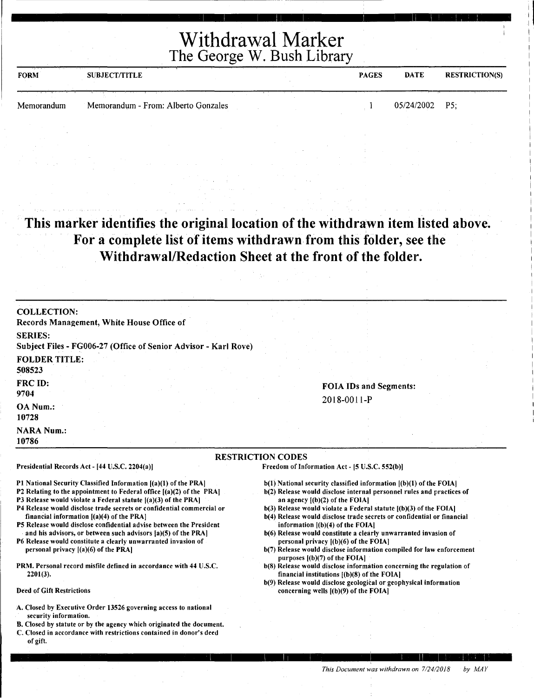## Withdrawal Marker The George W. Bush Library

1-- I I I 11 I I I 11 I I I ' ' :

| せんせんき エーエスきん シート・ストリー しょうかん<br><b>FORM</b> | <b>SUBJECT/TITLE</b>                | <b>PAGES</b> | <b>DATE</b>      | <b>RESTRICTION(S)</b> |
|--------------------------------------------|-------------------------------------|--------------|------------------|-----------------------|
| Memorandum                                 | Memorandum - From: Alberto Gonzales |              | $05/24/2002$ P5; |                       |

This marker identifies the original location of the withdrawn item listed above. For a complete list of items withdrawn from this folder, see the Withdrawal/Redaction Sheet at the front of the folder.

| <b>COLLECTION:</b><br>Records Management, White House Office of                                                                                                                                                                                                                                                                                                                                                                                                                                                                                                                                                                                              |                                                                                                                                                                                                                                                                                                                                                                                                                                                                                                                                                                                                                                                                                        |
|--------------------------------------------------------------------------------------------------------------------------------------------------------------------------------------------------------------------------------------------------------------------------------------------------------------------------------------------------------------------------------------------------------------------------------------------------------------------------------------------------------------------------------------------------------------------------------------------------------------------------------------------------------------|----------------------------------------------------------------------------------------------------------------------------------------------------------------------------------------------------------------------------------------------------------------------------------------------------------------------------------------------------------------------------------------------------------------------------------------------------------------------------------------------------------------------------------------------------------------------------------------------------------------------------------------------------------------------------------------|
| <b>SERIES:</b><br>Subject Files - FG006-27 (Office of Senior Advisor - Karl Rove)                                                                                                                                                                                                                                                                                                                                                                                                                                                                                                                                                                            |                                                                                                                                                                                                                                                                                                                                                                                                                                                                                                                                                                                                                                                                                        |
| <b>FOLDER TITLE:</b><br>508523                                                                                                                                                                                                                                                                                                                                                                                                                                                                                                                                                                                                                               |                                                                                                                                                                                                                                                                                                                                                                                                                                                                                                                                                                                                                                                                                        |
| FRC ID:<br>9704                                                                                                                                                                                                                                                                                                                                                                                                                                                                                                                                                                                                                                              | <b>FOIA IDs and Segments:</b>                                                                                                                                                                                                                                                                                                                                                                                                                                                                                                                                                                                                                                                          |
| OA Num.:<br>10728                                                                                                                                                                                                                                                                                                                                                                                                                                                                                                                                                                                                                                            | $2018 - 0011 - P$                                                                                                                                                                                                                                                                                                                                                                                                                                                                                                                                                                                                                                                                      |
| <b>NARA Num.:</b><br>10786                                                                                                                                                                                                                                                                                                                                                                                                                                                                                                                                                                                                                                   |                                                                                                                                                                                                                                                                                                                                                                                                                                                                                                                                                                                                                                                                                        |
|                                                                                                                                                                                                                                                                                                                                                                                                                                                                                                                                                                                                                                                              |                                                                                                                                                                                                                                                                                                                                                                                                                                                                                                                                                                                                                                                                                        |
| Presidential Records Act - [44 U.S.C. 2204(a)]                                                                                                                                                                                                                                                                                                                                                                                                                                                                                                                                                                                                               | <b>RESTRICTION CODES</b><br>Freedom of Information Act - [5 U.S.C. 552(b)]                                                                                                                                                                                                                                                                                                                                                                                                                                                                                                                                                                                                             |
| P1 National Security Classified Information [(a)(1) of the PRA]<br>P2 Relating to the appointment to Federal office $[(a)(2)$ of the PRA]<br>P3 Release would violate a Federal statute $[(a)(3)$ of the PRA]<br>P4 Release would disclose trade secrets or confidential commercial or<br>financial information $[(a)(4)$ of the PRA<br>P5 Release would disclose confidential advise between the President<br>and his advisors, or between such advisors [a](5) of the PRA]<br>P6 Release would constitute a clearly unwarranted invasion of<br>personal privacy $[(a)(6)$ of the PRA]<br>PRM. Personal record misfile defined in accordance with 44 U.S.C. | $b(1)$ National security classified information $(1b)(1)$ of the FOIA]<br>b(2) Release would disclose internal personnel rules and practices of<br>an agency $[(b)(2)$ of the FOIA]<br>$b(3)$ Release would violate a Federal statute $[(b)(3)$ of the FOIA]<br>b(4) Release would disclose trade secrets or confidential or financial<br>information $[(b)(4)$ of the FOIA]<br>b(6) Release would constitute a clearly unwarranted invasion of<br>personal privacy $[(b)(6)$ of the FOIA]<br>b(7) Release would disclose information compiled for law enforcement<br>purposes $($ (b $)(7)$ ) of the FOIA $]$<br>b(8) Release would disclose information concerning the regulation of |

- ler 13526 governing security information.
- B. Closed by statute or by the agency which originated the document.
- C. Closed in accordance with restrictions contained in donor's deed of gift.

*This Document was withdrawn on 712412018 by MAY* 

I I I I 1 I I I 11 ' I, , I